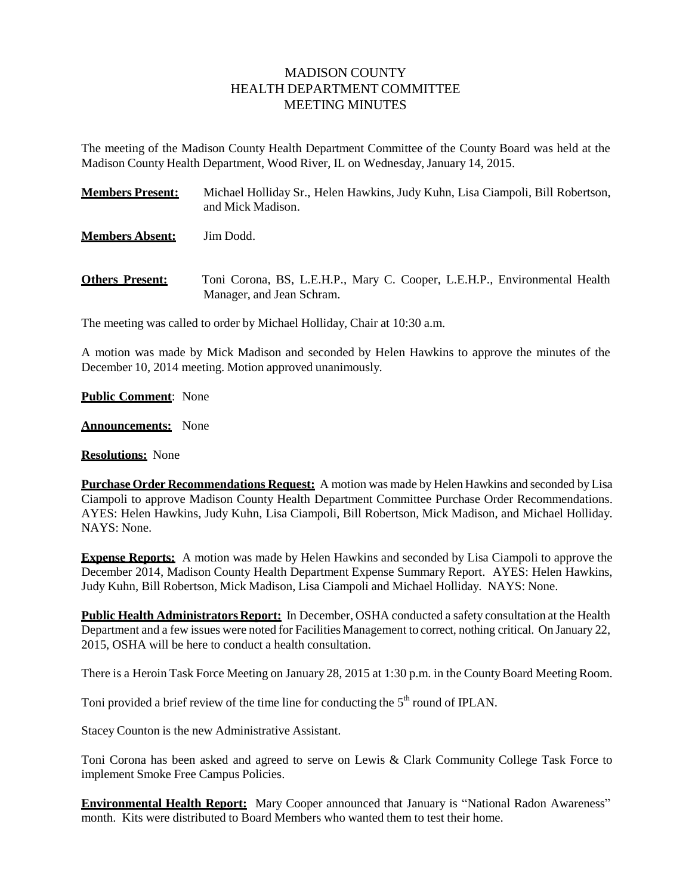## MADISON COUNTY HEALTH DEPARTMENT COMMITTEE MEETING MINUTES

The meeting of the Madison County Health Department Committee of the County Board was held at the Madison County Health Department, Wood River, IL on Wednesday, January 14, 2015.

| <b>Members Present:</b> | Michael Holliday Sr., Helen Hawkins, Judy Kuhn, Lisa Ciampoli, Bill Robertson,<br>and Mick Madison.    |
|-------------------------|--------------------------------------------------------------------------------------------------------|
| <b>Members Absent:</b>  | Jim Dodd.                                                                                              |
| <b>Others Present:</b>  | Toni Corona, BS, L.E.H.P., Mary C. Cooper, L.E.H.P., Environmental Health<br>Manager, and Jean Schram. |

The meeting was called to order by Michael Holliday, Chair at 10:30 a.m.

A motion was made by Mick Madison and seconded by Helen Hawkins to approve the minutes of the December 10, 2014 meeting. Motion approved unanimously.

## **Public Comment**: None

**Announcements:** None

**Resolutions:** None

**Purchase Order Recommendations Request:** A motion was made by Helen Hawkins and seconded by Lisa Ciampoli to approve Madison County Health Department Committee Purchase Order Recommendations. AYES: Helen Hawkins, Judy Kuhn, Lisa Ciampoli, Bill Robertson, Mick Madison, and Michael Holliday. NAYS: None.

**Expense Reports:** A motion was made by Helen Hawkins and seconded by Lisa Ciampoli to approve the December 2014, Madison County Health Department Expense Summary Report. AYES: Helen Hawkins, Judy Kuhn, Bill Robertson, Mick Madison, Lisa Ciampoli and Michael Holliday. NAYS: None.

**Public Health Administrators Report:** In December, OSHA conducted a safety consultation at the Health Department and a few issues were noted for Facilities Management to correct, nothing critical. On January 22, 2015, OSHA will be here to conduct a health consultation.

There is a Heroin Task Force Meeting on January 28, 2015 at 1:30 p.m. in the CountyBoard Meeting Room.

Toni provided a brief review of the time line for conducting the  $5<sup>th</sup>$  round of IPLAN.

Stacey Counton is the new Administrative Assistant.

Toni Corona has been asked and agreed to serve on Lewis & Clark Community College Task Force to implement Smoke Free Campus Policies.

**Environmental Health Report:** Mary Cooper announced that January is "National Radon Awareness" month. Kits were distributed to Board Members who wanted them to test their home.